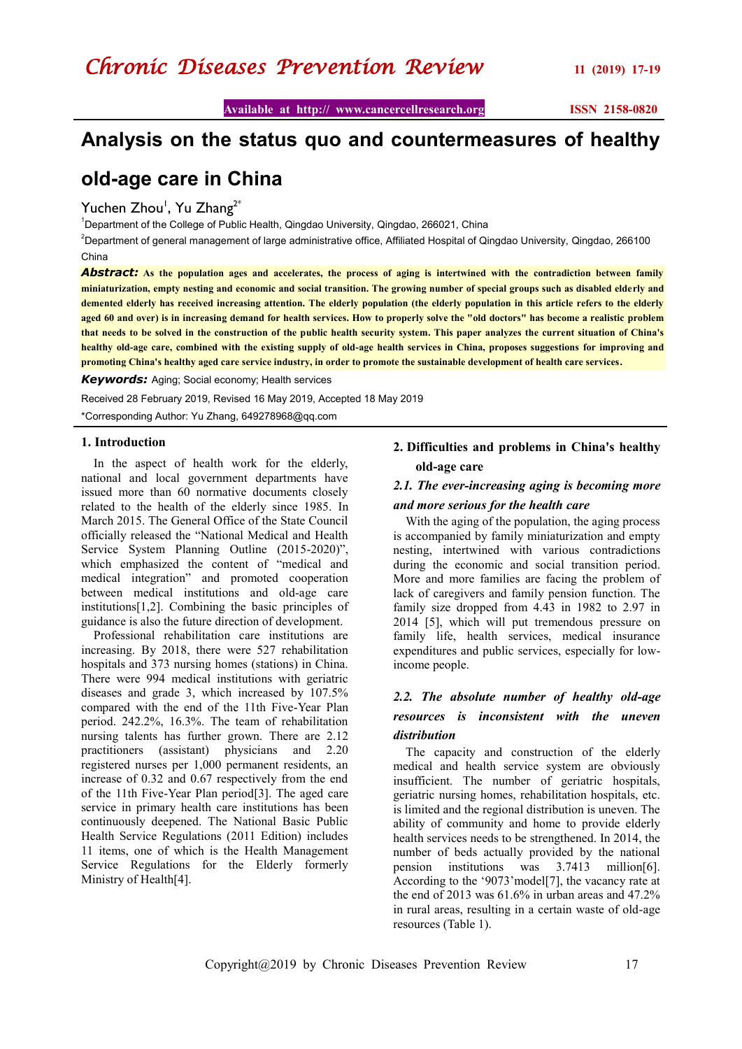## **Analysis on the status quo and countermeasures of healthy**

## **old-age care in China**

### Yuchen Zhou<sup>1</sup>, Yu Zhang<sup>2\*</sup>

<sup>1</sup>Department of the College of Public Health, Qingdao University, Qingdao, 266021, China

<sup>2</sup>Department of general management of large administrative office, Affiliated Hospital of Qingdao University, Qingdao, 266100 China

*Abstract:* **As the population ages and accelerates, the process of aging is intertwined with the contradiction between family miniaturization, empty nesting and economic and social transition. The growing number of special groups such as disabled elderly and demented elderly has received increasing attention. The elderly population (the elderly population in this article refers to the elderly aged 60 and over) is in increasing demand for health services. How to properly solve the "old doctors" has become a realistic problem that needs to be solved in the construction of the public health security system. This paper analyzes the current situation of China's healthy old-age care, combined with the existing supply of old-age health services in China, proposes suggestions for improving and promoting China's healthy aged care service industry, in order to promote the sustainable development of health care services.**

*Keywords:* Aging; Social economy; Health services

Received 28 February 2019, Revised 16 May2019, Accepted 18 May2019

\*Corresponding Author: Yu Zhang, 649278968@qq.com

#### **1. Introduction**

In the aspect of health work for the elderly, national and local government departments have issued more than 60 normative documents closely related to the health of the elderly since 1985. In March 2015. The General Office of the State Council officially released the "National Medical and Health Service System Planning Outline (2015-2020)", which emphasized the content of "medical and medical integration" and promoted cooperation between medical institutions and old-age care institutions[1,2]. Combining the basic principles of guidance is also the future direction of development.

Professional rehabilitation care institutions are increasing. By 2018, there were 527 rehabilitation hospitals and 373 nursing homes (stations) in China. There were 994 medical institutions with geriatric diseases and grade 3, which increased by 107.5% compared with the end of the 11th Five-Year Plan period. 242.2%, 16.3%. The team of rehabilitation nursing talents has further grown. There are 2.12 practitioners (assistant) physicians and 2.20 registered nurses per 1,000 permanent residents, an increase of 0.32 and 0.67 respectively from the end of the 11th Five-Year Plan period[3]. The aged care service in primary health care institutions has been continuously deepened. The National Basic Public Health Service Regulations (2011 Edition) includes 11 items, one of which is the Health Management Service Regulations for the Elderly formerly Ministry of Health[4].

### **2. Difficulties and problems in China's healthy old-age care**

### *2.1. The ever-increasing aging is becoming more and more serious for the health care*

With the aging of the population, the aging process is accompanied by family miniaturization and empty nesting, intertwined with various contradictions during the economic and social transition period. More and more families are facing the problem of lack of caregivers and family pension function. The family size dropped from 4.43 in 1982 to 2.97 in 2014 [5], which will put tremendous pressure on family life, health services, medical insurance expenditures and public services, especially for lowincome people.

### *2.2. The absolute number of healthy old-age resources is inconsistent with the uneven distribution*

The capacity and construction of the elderly medical and health service system are obviously insufficient. The number of geriatric hospitals, geriatric nursing homes, rehabilitation hospitals, etc. is limited and the regional distribution is uneven. The ability of community and home to provide elderly health services needs to be strengthened. In 2014, the number of beds actually provided by the national pension institutions was 3.7413 million[6]. According to the "9073"model[7], the vacancy rate at the end of 2013 was  $61.6\%$  in urban areas and  $47.2\%$ in rural areas, resulting in a certain waste of old-age resources (Table 1).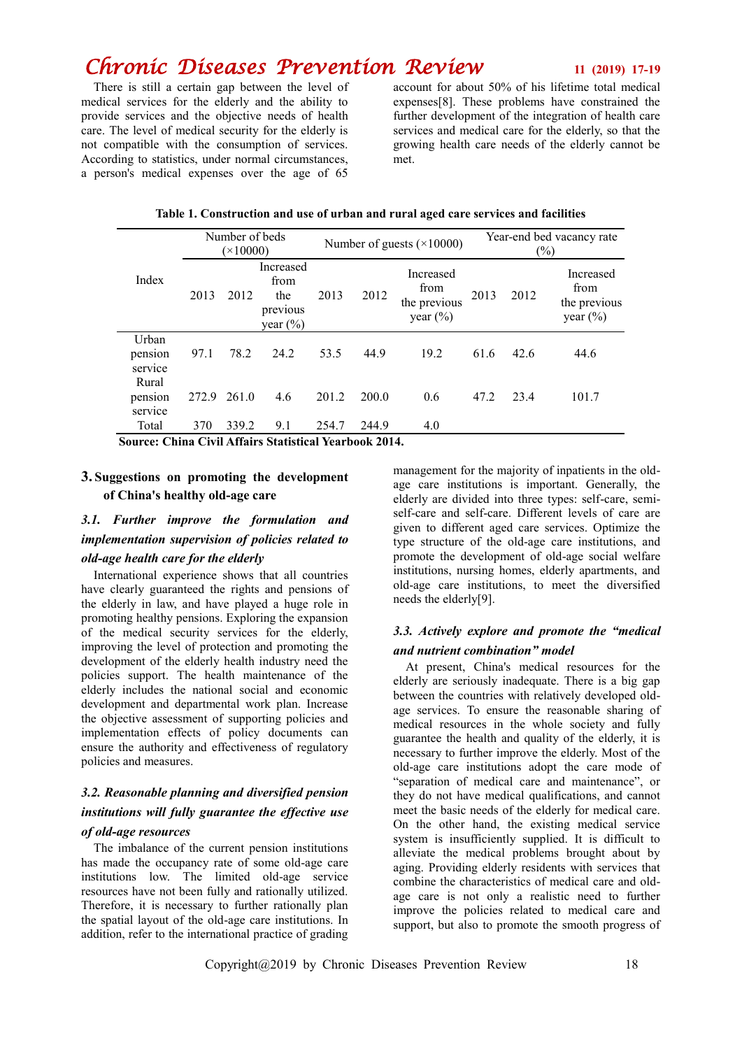## *Chronic Diseases Prevention Review* **<sup>11</sup> (2019) 17-19**

There is still a certain gap between the level of medical services for the elderly and the ability to provide services and the objective needs of health care. The level of medical security for the elderly is not compatible with the consumption of services. According to statistics, under normal circumstances, a person's medical expenses over the age of 65

account for about 50% of his lifetime total medical expenses[8]. These problems have constrained the further development of the integration of health care services and medical care for the elderly, so that the growing health care needs of the elderly cannot be met.

| Index                       | Number of beds<br>$(\times 10000)$ |       |                                                      | Number of guests $(\times 10000)$ |       |                                                   | Year-end bed vacancy rate<br>$(\%)$ |      |                                                   |
|-----------------------------|------------------------------------|-------|------------------------------------------------------|-----------------------------------|-------|---------------------------------------------------|-------------------------------------|------|---------------------------------------------------|
|                             | 2013                               | 2012  | Increased<br>from<br>the<br>previous<br>year $(\% )$ | 2013                              | 2012  | Increased<br>from<br>the previous<br>year $(\% )$ | 2013                                | 2012 | Increased<br>from<br>the previous<br>year $(\% )$ |
| Urban<br>pension<br>service | 97.1                               | 78.2  | 24.2                                                 | 53.5                              | 44.9  | 19.2                                              | 61.6                                | 42.6 | 44.6                                              |
| Rural<br>pension<br>service | 272.9                              | 261.0 | 4.6                                                  | 201.2                             | 200.0 | 0.6                                               | 47.2                                | 23.4 | 101.7                                             |
| Total                       | 370                                | 339.2 | 9.1                                                  | 254.7                             | 244.9 | 4.0                                               |                                     |      |                                                   |

#### **Table 1. Construction and use of urban and rural aged care services and facilities**

**Source: China Civil Affairs Statistical Yearbook 2014.**

#### **3. Suggestions on promoting the development of China's healthy old-age care**

### *3.1. Further improve the formulation and implementation supervision of policies related to old-age health care for the elderly*

International experience shows that all countries have clearly guaranteed the rights and pensions of the elderly in law, and have played a huge role in promoting healthy pensions. Exploring the expansion of the medical security services for the elderly, improving the level of protection and promoting the development of the elderly health industry need the policies support. The health maintenance of the elderly includes the national social and economic development and departmental work plan. Increase the objective assessment of supporting policies and implementation effects of policy documents can ensure the authority and effectiveness of regulatory policies and measures.

### *3.2. Reasonable planning and diversified pension institutions will fully guarantee the effective use of old-age resources*

# The imbalance of the current pension institutions

has made the occupancy rate of some old-age care institutions low. The limited old-age service resources have not been fully and rationally utilized. Therefore, it is necessary to further rationally plan the spatial layout of the old-age care institutions. In addition, refer to the international practice of grading

management for the majority of inpatients in the oldage care institutions is important. Generally, the elderly are divided into three types: self-care, semiself-care and self-care. Different levels of care are given to different aged care services. Optimize the type structure of the old-age care institutions, and promote the development of old-age social welfare institutions, nursing homes, elderly apartments, and old-age care institutions, to meet the diversified needs the elderly[9].

#### *3.3. Actively explore and promote the "medical and nutrient combination" model*

At present, China's medical resources for the elderly are seriously inadequate. There is a big gap between the countries with relatively developed oldage services. To ensure the reasonable sharing of medical resources in the whole society and fully guarantee the health and quality of the elderly, it is necessary to further improve the elderly. Most of the old-age care institutions adopt the care mode of "separation of medical care and maintenance", or they do not have medical qualifications, and cannot meet the basic needs of the elderly for medical care. On the other hand, the existing medical service system is insufficiently supplied. It is difficult to alleviate the medical problems brought about by aging. Providing elderly residents with services that combine the characteristics of medical care and oldage care is not only a realistic need to further improve the policies related to medical care and support, but also to promote the smooth progress of